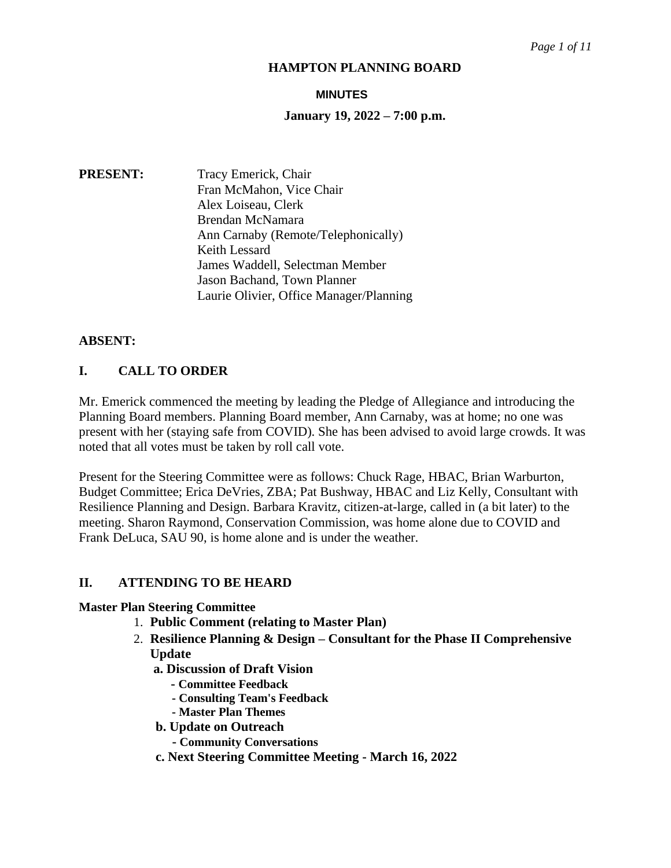#### **MINUTES**

#### **January 19, 2022 – 7:00 p.m.**

**PRESENT:** Tracy Emerick, Chair Fran McMahon, Vice Chair Alex Loiseau, Clerk Brendan McNamara Ann Carnaby (Remote/Telephonically) Keith Lessard James Waddell, Selectman Member Jason Bachand, Town Planner Laurie Olivier, Office Manager/Planning

#### **ABSENT:**

# **I. CALL TO ORDER**

Mr. Emerick commenced the meeting by leading the Pledge of Allegiance and introducing the Planning Board members. Planning Board member, Ann Carnaby, was at home; no one was present with her (staying safe from COVID). She has been advised to avoid large crowds. It was noted that all votes must be taken by roll call vote.

Present for the Steering Committee were as follows: Chuck Rage, HBAC, Brian Warburton, Budget Committee; Erica DeVries, ZBA; Pat Bushway, HBAC and Liz Kelly, Consultant with Resilience Planning and Design. Barbara Kravitz, citizen-at-large, called in (a bit later) to the meeting. Sharon Raymond, Conservation Commission, was home alone due to COVID and Frank DeLuca, SAU 90, is home alone and is under the weather.

#### **II. ATTENDING TO BE HEARD**

#### **Master Plan Steering Committee**

- 1. **Public Comment (relating to Master Plan)**
- 2. **Resilience Planning & Design – Consultant for the Phase II Comprehensive Update**
	- **a. Discussion of Draft Vision**
		- **- Committee Feedback**
		- **- Consulting Team's Feedback**
		- **- Master Plan Themes**
	- **b. Update on Outreach**
		- **- Community Conversations**
	- **c. Next Steering Committee Meeting - March 16, 2022**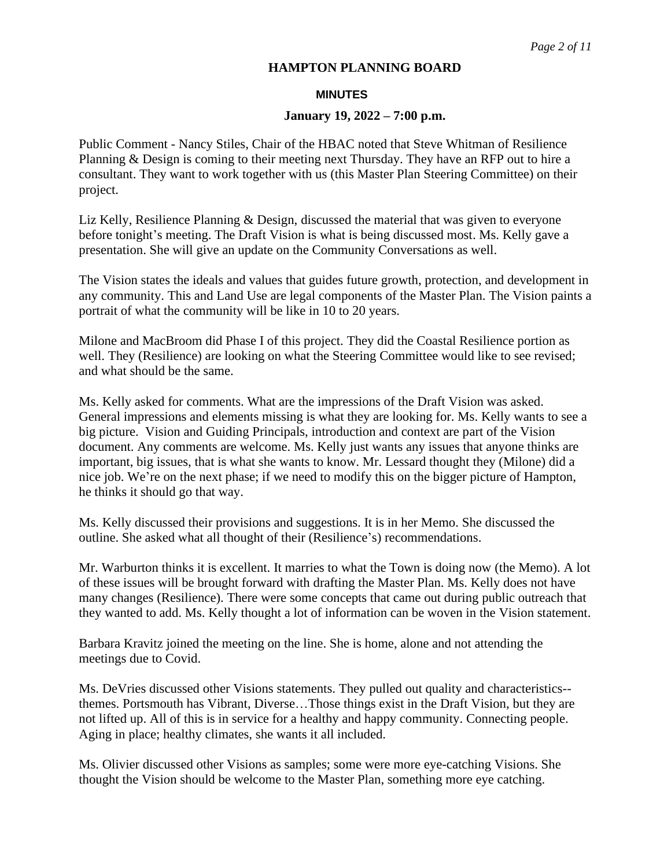#### **MINUTES**

#### **January 19, 2022 – 7:00 p.m.**

Public Comment - Nancy Stiles, Chair of the HBAC noted that Steve Whitman of Resilience Planning & Design is coming to their meeting next Thursday. They have an RFP out to hire a consultant. They want to work together with us (this Master Plan Steering Committee) on their project.

Liz Kelly, Resilience Planning & Design, discussed the material that was given to everyone before tonight's meeting. The Draft Vision is what is being discussed most. Ms. Kelly gave a presentation. She will give an update on the Community Conversations as well.

The Vision states the ideals and values that guides future growth, protection, and development in any community. This and Land Use are legal components of the Master Plan. The Vision paints a portrait of what the community will be like in 10 to 20 years.

Milone and MacBroom did Phase I of this project. They did the Coastal Resilience portion as well. They (Resilience) are looking on what the Steering Committee would like to see revised; and what should be the same.

Ms. Kelly asked for comments. What are the impressions of the Draft Vision was asked. General impressions and elements missing is what they are looking for. Ms. Kelly wants to see a big picture. Vision and Guiding Principals, introduction and context are part of the Vision document. Any comments are welcome. Ms. Kelly just wants any issues that anyone thinks are important, big issues, that is what she wants to know. Mr. Lessard thought they (Milone) did a nice job. We're on the next phase; if we need to modify this on the bigger picture of Hampton, he thinks it should go that way.

Ms. Kelly discussed their provisions and suggestions. It is in her Memo. She discussed the outline. She asked what all thought of their (Resilience's) recommendations.

Mr. Warburton thinks it is excellent. It marries to what the Town is doing now (the Memo). A lot of these issues will be brought forward with drafting the Master Plan. Ms. Kelly does not have many changes (Resilience). There were some concepts that came out during public outreach that they wanted to add. Ms. Kelly thought a lot of information can be woven in the Vision statement.

Barbara Kravitz joined the meeting on the line. She is home, alone and not attending the meetings due to Covid.

Ms. DeVries discussed other Visions statements. They pulled out quality and characteristics- themes. Portsmouth has Vibrant, Diverse…Those things exist in the Draft Vision, but they are not lifted up. All of this is in service for a healthy and happy community. Connecting people. Aging in place; healthy climates, she wants it all included.

Ms. Olivier discussed other Visions as samples; some were more eye-catching Visions. She thought the Vision should be welcome to the Master Plan, something more eye catching.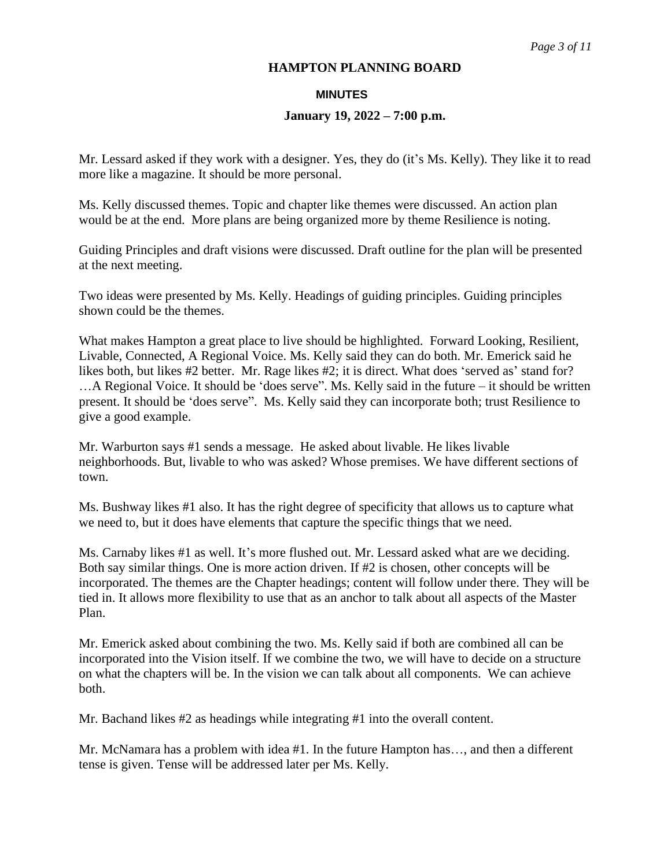#### **MINUTES**

#### **January 19, 2022 – 7:00 p.m.**

Mr. Lessard asked if they work with a designer. Yes, they do (it's Ms. Kelly). They like it to read more like a magazine. It should be more personal.

Ms. Kelly discussed themes. Topic and chapter like themes were discussed. An action plan would be at the end. More plans are being organized more by theme Resilience is noting.

Guiding Principles and draft visions were discussed. Draft outline for the plan will be presented at the next meeting.

Two ideas were presented by Ms. Kelly. Headings of guiding principles. Guiding principles shown could be the themes.

What makes Hampton a great place to live should be highlighted. Forward Looking, Resilient, Livable, Connected, A Regional Voice. Ms. Kelly said they can do both. Mr. Emerick said he likes both, but likes #2 better. Mr. Rage likes #2; it is direct. What does 'served as' stand for? …A Regional Voice. It should be 'does serve". Ms. Kelly said in the future – it should be written present. It should be 'does serve". Ms. Kelly said they can incorporate both; trust Resilience to give a good example.

Mr. Warburton says #1 sends a message. He asked about livable. He likes livable neighborhoods. But, livable to who was asked? Whose premises. We have different sections of town.

Ms. Bushway likes #1 also. It has the right degree of specificity that allows us to capture what we need to, but it does have elements that capture the specific things that we need.

Ms. Carnaby likes #1 as well. It's more flushed out. Mr. Lessard asked what are we deciding. Both say similar things. One is more action driven. If #2 is chosen, other concepts will be incorporated. The themes are the Chapter headings; content will follow under there. They will be tied in. It allows more flexibility to use that as an anchor to talk about all aspects of the Master Plan.

Mr. Emerick asked about combining the two. Ms. Kelly said if both are combined all can be incorporated into the Vision itself. If we combine the two, we will have to decide on a structure on what the chapters will be. In the vision we can talk about all components. We can achieve both.

Mr. Bachand likes #2 as headings while integrating #1 into the overall content.

Mr. McNamara has a problem with idea #1. In the future Hampton has…, and then a different tense is given. Tense will be addressed later per Ms. Kelly.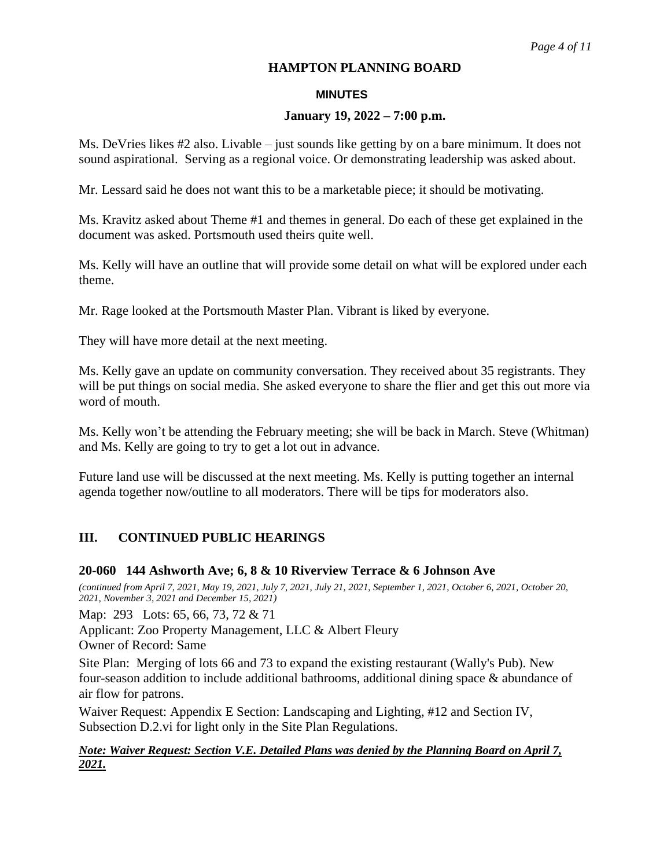### **MINUTES**

# **January 19, 2022 – 7:00 p.m.**

Ms. DeVries likes #2 also. Livable – just sounds like getting by on a bare minimum. It does not sound aspirational. Serving as a regional voice. Or demonstrating leadership was asked about.

Mr. Lessard said he does not want this to be a marketable piece; it should be motivating.

Ms. Kravitz asked about Theme #1 and themes in general. Do each of these get explained in the document was asked. Portsmouth used theirs quite well.

Ms. Kelly will have an outline that will provide some detail on what will be explored under each theme.

Mr. Rage looked at the Portsmouth Master Plan. Vibrant is liked by everyone.

They will have more detail at the next meeting.

Ms. Kelly gave an update on community conversation. They received about 35 registrants. They will be put things on social media. She asked everyone to share the flier and get this out more via word of mouth.

Ms. Kelly won't be attending the February meeting; she will be back in March. Steve (Whitman) and Ms. Kelly are going to try to get a lot out in advance.

Future land use will be discussed at the next meeting. Ms. Kelly is putting together an internal agenda together now/outline to all moderators. There will be tips for moderators also.

# **III. CONTINUED PUBLIC HEARINGS**

#### **20-060 144 Ashworth Ave; 6, 8 & 10 Riverview Terrace & 6 Johnson Ave**

*(continued from April 7, 2021, May 19, 2021, July 7, 2021, July 21, 2021, September 1, 2021, October 6, 2021, October 20, 2021, November 3, 2021 and December 15, 2021)*

Map: 293 Lots: 65, 66, 73, 72 & 71

Applicant: Zoo Property Management, LLC & Albert Fleury Owner of Record: Same

Site Plan: Merging of lots 66 and 73 to expand the existing restaurant (Wally's Pub). New four-season addition to include additional bathrooms, additional dining space & abundance of air flow for patrons.

Waiver Request: Appendix E Section: Landscaping and Lighting, #12 and Section IV, Subsection D.2.vi for light only in the Site Plan Regulations.

# *Note: Waiver Request: Section V.E. Detailed Plans was denied by the Planning Board on April 7, 2021.*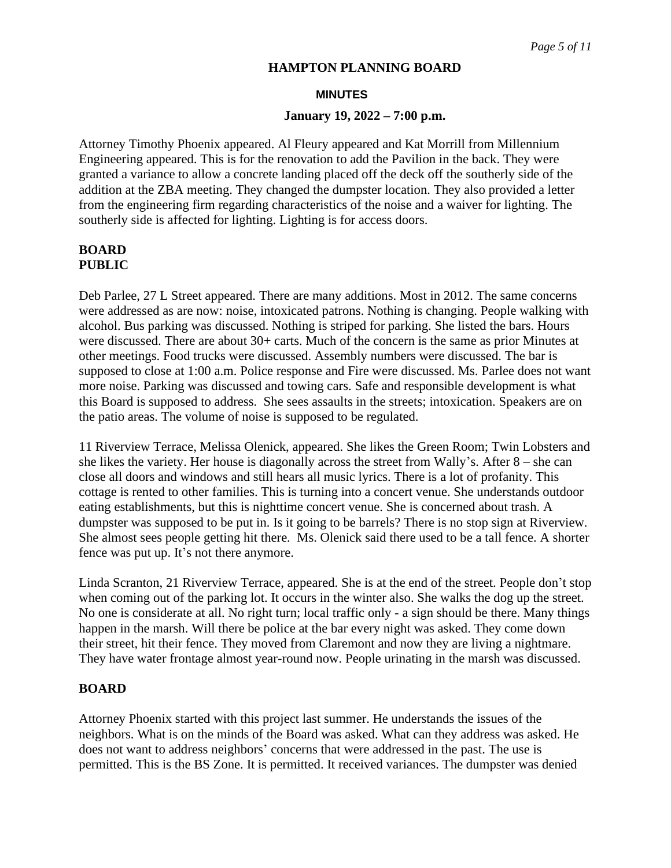#### **MINUTES**

#### **January 19, 2022 – 7:00 p.m.**

Attorney Timothy Phoenix appeared. Al Fleury appeared and Kat Morrill from Millennium Engineering appeared. This is for the renovation to add the Pavilion in the back. They were granted a variance to allow a concrete landing placed off the deck off the southerly side of the addition at the ZBA meeting. They changed the dumpster location. They also provided a letter from the engineering firm regarding characteristics of the noise and a waiver for lighting. The southerly side is affected for lighting. Lighting is for access doors.

# **BOARD PUBLIC**

Deb Parlee, 27 L Street appeared. There are many additions. Most in 2012. The same concerns were addressed as are now: noise, intoxicated patrons. Nothing is changing. People walking with alcohol. Bus parking was discussed. Nothing is striped for parking. She listed the bars. Hours were discussed. There are about 30+ carts. Much of the concern is the same as prior Minutes at other meetings. Food trucks were discussed. Assembly numbers were discussed. The bar is supposed to close at 1:00 a.m. Police response and Fire were discussed. Ms. Parlee does not want more noise. Parking was discussed and towing cars. Safe and responsible development is what this Board is supposed to address. She sees assaults in the streets; intoxication. Speakers are on the patio areas. The volume of noise is supposed to be regulated.

11 Riverview Terrace, Melissa Olenick, appeared. She likes the Green Room; Twin Lobsters and she likes the variety. Her house is diagonally across the street from Wally's. After 8 – she can close all doors and windows and still hears all music lyrics. There is a lot of profanity. This cottage is rented to other families. This is turning into a concert venue. She understands outdoor eating establishments, but this is nighttime concert venue. She is concerned about trash. A dumpster was supposed to be put in. Is it going to be barrels? There is no stop sign at Riverview. She almost sees people getting hit there. Ms. Olenick said there used to be a tall fence. A shorter fence was put up. It's not there anymore.

Linda Scranton, 21 Riverview Terrace, appeared. She is at the end of the street. People don't stop when coming out of the parking lot. It occurs in the winter also. She walks the dog up the street. No one is considerate at all. No right turn; local traffic only - a sign should be there. Many things happen in the marsh. Will there be police at the bar every night was asked. They come down their street, hit their fence. They moved from Claremont and now they are living a nightmare. They have water frontage almost year-round now. People urinating in the marsh was discussed.

#### **BOARD**

Attorney Phoenix started with this project last summer. He understands the issues of the neighbors. What is on the minds of the Board was asked. What can they address was asked. He does not want to address neighbors' concerns that were addressed in the past. The use is permitted. This is the BS Zone. It is permitted. It received variances. The dumpster was denied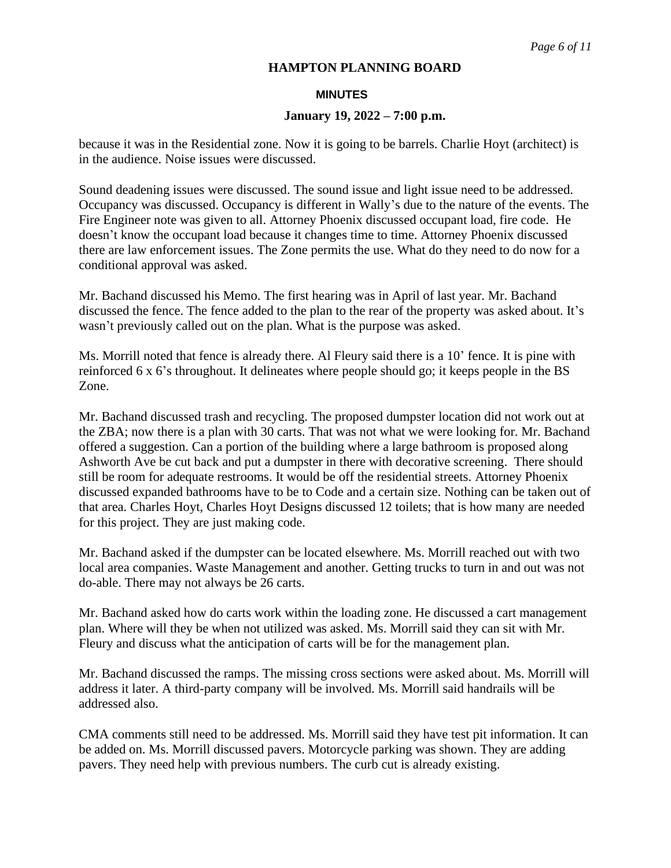#### **MINUTES**

#### **January 19, 2022 – 7:00 p.m.**

because it was in the Residential zone. Now it is going to be barrels. Charlie Hoyt (architect) is in the audience. Noise issues were discussed.

Sound deadening issues were discussed. The sound issue and light issue need to be addressed. Occupancy was discussed. Occupancy is different in Wally's due to the nature of the events. The Fire Engineer note was given to all. Attorney Phoenix discussed occupant load, fire code. He doesn't know the occupant load because it changes time to time. Attorney Phoenix discussed there are law enforcement issues. The Zone permits the use. What do they need to do now for a conditional approval was asked.

Mr. Bachand discussed his Memo. The first hearing was in April of last year. Mr. Bachand discussed the fence. The fence added to the plan to the rear of the property was asked about. It's wasn't previously called out on the plan. What is the purpose was asked.

Ms. Morrill noted that fence is already there. Al Fleury said there is a 10' fence. It is pine with reinforced 6 x 6's throughout. It delineates where people should go; it keeps people in the BS Zone.

Mr. Bachand discussed trash and recycling. The proposed dumpster location did not work out at the ZBA; now there is a plan with 30 carts. That was not what we were looking for. Mr. Bachand offered a suggestion. Can a portion of the building where a large bathroom is proposed along Ashworth Ave be cut back and put a dumpster in there with decorative screening. There should still be room for adequate restrooms. It would be off the residential streets. Attorney Phoenix discussed expanded bathrooms have to be to Code and a certain size. Nothing can be taken out of that area. Charles Hoyt, Charles Hoyt Designs discussed 12 toilets; that is how many are needed for this project. They are just making code.

Mr. Bachand asked if the dumpster can be located elsewhere. Ms. Morrill reached out with two local area companies. Waste Management and another. Getting trucks to turn in and out was not do-able. There may not always be 26 carts.

Mr. Bachand asked how do carts work within the loading zone. He discussed a cart management plan. Where will they be when not utilized was asked. Ms. Morrill said they can sit with Mr. Fleury and discuss what the anticipation of carts will be for the management plan.

Mr. Bachand discussed the ramps. The missing cross sections were asked about. Ms. Morrill will address it later. A third-party company will be involved. Ms. Morrill said handrails will be addressed also.

CMA comments still need to be addressed. Ms. Morrill said they have test pit information. It can be added on. Ms. Morrill discussed pavers. Motorcycle parking was shown. They are adding pavers. They need help with previous numbers. The curb cut is already existing.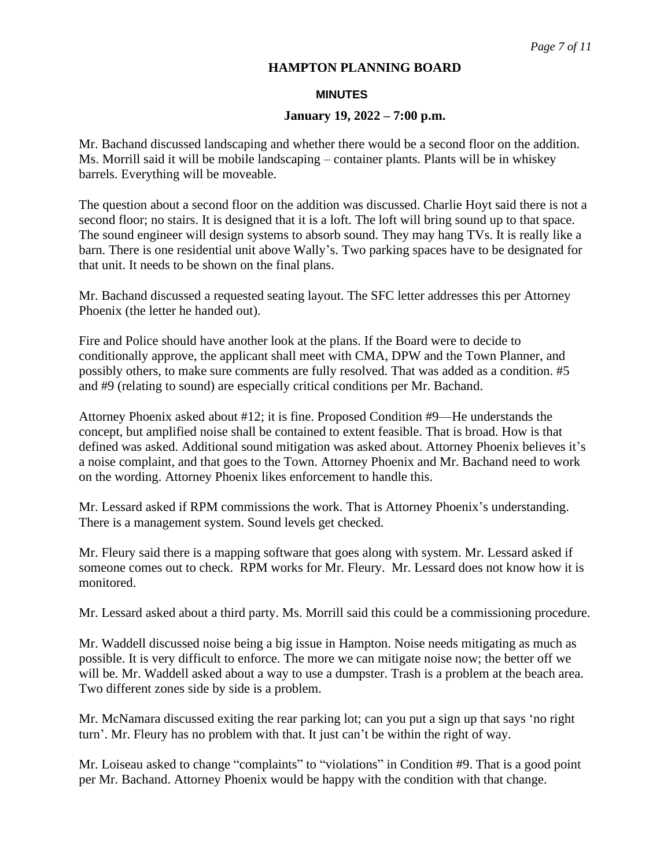#### **MINUTES**

#### **January 19, 2022 – 7:00 p.m.**

Mr. Bachand discussed landscaping and whether there would be a second floor on the addition. Ms. Morrill said it will be mobile landscaping – container plants. Plants will be in whiskey barrels. Everything will be moveable.

The question about a second floor on the addition was discussed. Charlie Hoyt said there is not a second floor; no stairs. It is designed that it is a loft. The loft will bring sound up to that space. The sound engineer will design systems to absorb sound. They may hang TVs. It is really like a barn. There is one residential unit above Wally's. Two parking spaces have to be designated for that unit. It needs to be shown on the final plans.

Mr. Bachand discussed a requested seating layout. The SFC letter addresses this per Attorney Phoenix (the letter he handed out).

Fire and Police should have another look at the plans. If the Board were to decide to conditionally approve, the applicant shall meet with CMA, DPW and the Town Planner, and possibly others, to make sure comments are fully resolved. That was added as a condition. #5 and #9 (relating to sound) are especially critical conditions per Mr. Bachand.

Attorney Phoenix asked about #12; it is fine. Proposed Condition #9—He understands the concept, but amplified noise shall be contained to extent feasible. That is broad. How is that defined was asked. Additional sound mitigation was asked about. Attorney Phoenix believes it's a noise complaint, and that goes to the Town. Attorney Phoenix and Mr. Bachand need to work on the wording. Attorney Phoenix likes enforcement to handle this.

Mr. Lessard asked if RPM commissions the work. That is Attorney Phoenix's understanding. There is a management system. Sound levels get checked.

Mr. Fleury said there is a mapping software that goes along with system. Mr. Lessard asked if someone comes out to check. RPM works for Mr. Fleury. Mr. Lessard does not know how it is monitored.

Mr. Lessard asked about a third party. Ms. Morrill said this could be a commissioning procedure.

Mr. Waddell discussed noise being a big issue in Hampton. Noise needs mitigating as much as possible. It is very difficult to enforce. The more we can mitigate noise now; the better off we will be. Mr. Waddell asked about a way to use a dumpster. Trash is a problem at the beach area. Two different zones side by side is a problem.

Mr. McNamara discussed exiting the rear parking lot; can you put a sign up that says 'no right turn'. Mr. Fleury has no problem with that. It just can't be within the right of way.

Mr. Loiseau asked to change "complaints" to "violations" in Condition #9. That is a good point per Mr. Bachand. Attorney Phoenix would be happy with the condition with that change.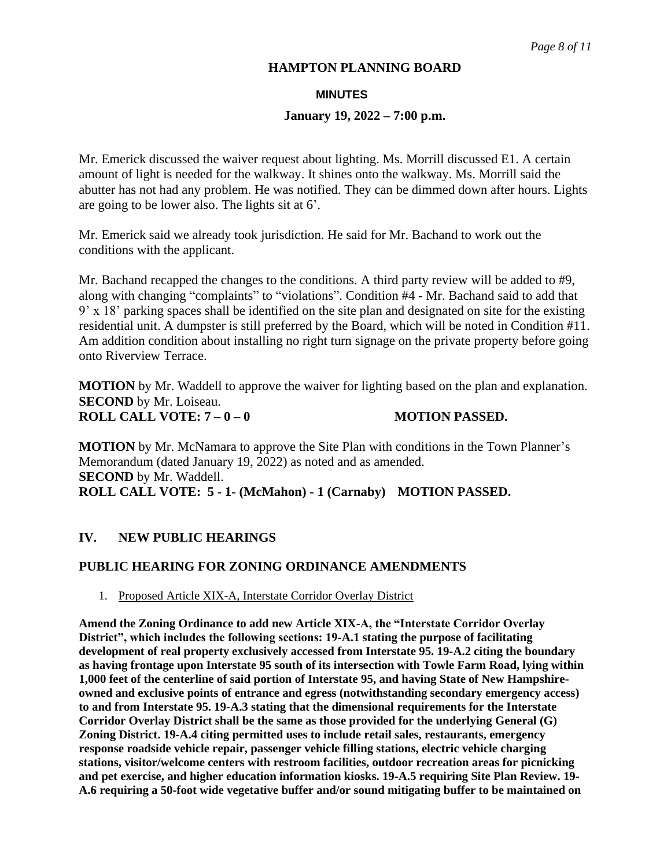#### **MINUTES**

#### **January 19, 2022 – 7:00 p.m.**

Mr. Emerick discussed the waiver request about lighting. Ms. Morrill discussed E1. A certain amount of light is needed for the walkway. It shines onto the walkway. Ms. Morrill said the abutter has not had any problem. He was notified. They can be dimmed down after hours. Lights are going to be lower also. The lights sit at 6'.

Mr. Emerick said we already took jurisdiction. He said for Mr. Bachand to work out the conditions with the applicant.

Mr. Bachand recapped the changes to the conditions. A third party review will be added to #9, along with changing "complaints" to "violations". Condition #4 - Mr. Bachand said to add that 9' x 18' parking spaces shall be identified on the site plan and designated on site for the existing residential unit. A dumpster is still preferred by the Board, which will be noted in Condition #11. Am addition condition about installing no right turn signage on the private property before going onto Riverview Terrace.

**MOTION** by Mr. Waddell to approve the waiver for lighting based on the plan and explanation. **SECOND** by Mr. Loiseau. **ROLL CALL VOTE: 7 – 0 – 0 MOTION PASSED.**

**MOTION** by Mr. McNamara to approve the Site Plan with conditions in the Town Planner's Memorandum (dated January 19, 2022) as noted and as amended. **SECOND** by Mr. Waddell. **ROLL CALL VOTE: 5 - 1- (McMahon) - 1 (Carnaby) MOTION PASSED.**

# **IV. NEW PUBLIC HEARINGS**

#### **PUBLIC HEARING FOR ZONING ORDINANCE AMENDMENTS**

1. Proposed Article XIX-A, Interstate Corridor Overlay District

**Amend the Zoning Ordinance to add new Article XIX-A, the "Interstate Corridor Overlay District", which includes the following sections: 19-A.1 stating the purpose of facilitating development of real property exclusively accessed from Interstate 95. 19-A.2 citing the boundary as having frontage upon Interstate 95 south of its intersection with Towle Farm Road, lying within 1,000 feet of the centerline of said portion of Interstate 95, and having State of New Hampshireowned and exclusive points of entrance and egress (notwithstanding secondary emergency access) to and from Interstate 95. 19-A.3 stating that the dimensional requirements for the Interstate Corridor Overlay District shall be the same as those provided for the underlying General (G) Zoning District. 19-A.4 citing permitted uses to include retail sales, restaurants, emergency response roadside vehicle repair, passenger vehicle filling stations, electric vehicle charging stations, visitor/welcome centers with restroom facilities, outdoor recreation areas for picnicking and pet exercise, and higher education information kiosks. 19-A.5 requiring Site Plan Review. 19- A.6 requiring a 50-foot wide vegetative buffer and/or sound mitigating buffer to be maintained on**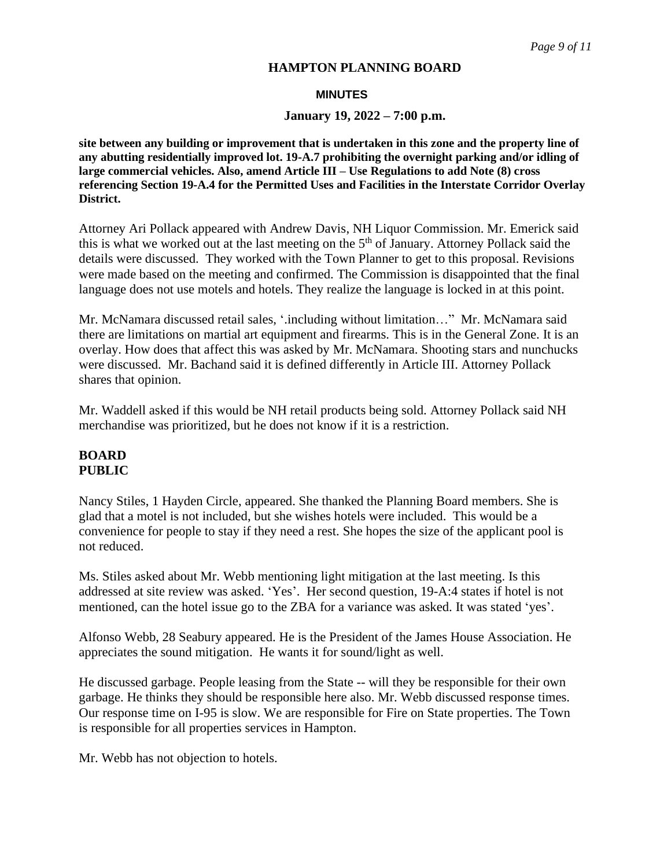#### **MINUTES**

#### **January 19, 2022 – 7:00 p.m.**

**site between any building or improvement that is undertaken in this zone and the property line of any abutting residentially improved lot. 19-A.7 prohibiting the overnight parking and/or idling of large commercial vehicles. Also, amend Article III – Use Regulations to add Note (8) cross referencing Section 19-A.4 for the Permitted Uses and Facilities in the Interstate Corridor Overlay District.**

Attorney Ari Pollack appeared with Andrew Davis, NH Liquor Commission. Mr. Emerick said this is what we worked out at the last meeting on the 5<sup>th</sup> of January. Attorney Pollack said the details were discussed. They worked with the Town Planner to get to this proposal. Revisions were made based on the meeting and confirmed. The Commission is disappointed that the final language does not use motels and hotels. They realize the language is locked in at this point.

Mr. McNamara discussed retail sales, '.including without limitation…" Mr. McNamara said there are limitations on martial art equipment and firearms. This is in the General Zone. It is an overlay. How does that affect this was asked by Mr. McNamara. Shooting stars and nunchucks were discussed. Mr. Bachand said it is defined differently in Article III. Attorney Pollack shares that opinion.

Mr. Waddell asked if this would be NH retail products being sold. Attorney Pollack said NH merchandise was prioritized, but he does not know if it is a restriction.

# **BOARD PUBLIC**

Nancy Stiles, 1 Hayden Circle, appeared. She thanked the Planning Board members. She is glad that a motel is not included, but she wishes hotels were included. This would be a convenience for people to stay if they need a rest. She hopes the size of the applicant pool is not reduced.

Ms. Stiles asked about Mr. Webb mentioning light mitigation at the last meeting. Is this addressed at site review was asked. 'Yes'. Her second question, 19-A:4 states if hotel is not mentioned, can the hotel issue go to the ZBA for a variance was asked. It was stated 'yes'.

Alfonso Webb, 28 Seabury appeared. He is the President of the James House Association. He appreciates the sound mitigation. He wants it for sound/light as well.

He discussed garbage. People leasing from the State -- will they be responsible for their own garbage. He thinks they should be responsible here also. Mr. Webb discussed response times. Our response time on I-95 is slow. We are responsible for Fire on State properties. The Town is responsible for all properties services in Hampton.

Mr. Webb has not objection to hotels.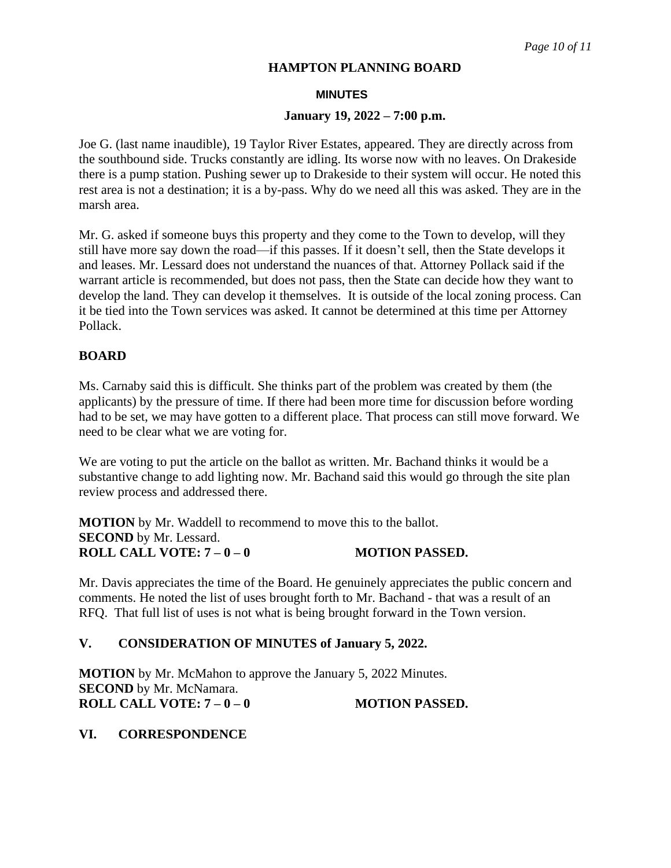#### **MINUTES**

#### **January 19, 2022 – 7:00 p.m.**

Joe G. (last name inaudible), 19 Taylor River Estates, appeared. They are directly across from the southbound side. Trucks constantly are idling. Its worse now with no leaves. On Drakeside there is a pump station. Pushing sewer up to Drakeside to their system will occur. He noted this rest area is not a destination; it is a by-pass. Why do we need all this was asked. They are in the marsh area.

Mr. G. asked if someone buys this property and they come to the Town to develop, will they still have more say down the road—if this passes. If it doesn't sell, then the State develops it and leases. Mr. Lessard does not understand the nuances of that. Attorney Pollack said if the warrant article is recommended, but does not pass, then the State can decide how they want to develop the land. They can develop it themselves. It is outside of the local zoning process. Can it be tied into the Town services was asked. It cannot be determined at this time per Attorney Pollack.

# **BOARD**

Ms. Carnaby said this is difficult. She thinks part of the problem was created by them (the applicants) by the pressure of time. If there had been more time for discussion before wording had to be set, we may have gotten to a different place. That process can still move forward. We need to be clear what we are voting for.

We are voting to put the article on the ballot as written. Mr. Bachand thinks it would be a substantive change to add lighting now. Mr. Bachand said this would go through the site plan review process and addressed there.

**MOTION** by Mr. Waddell to recommend to move this to the ballot. **SECOND** by Mr. Lessard. **ROLL CALL VOTE: 7 – 0 – 0 MOTION PASSED.**

Mr. Davis appreciates the time of the Board. He genuinely appreciates the public concern and comments. He noted the list of uses brought forth to Mr. Bachand - that was a result of an RFQ. That full list of uses is not what is being brought forward in the Town version.

# **V. CONSIDERATION OF MINUTES of January 5, 2022.**

**MOTION** by Mr. McMahon to approve the January 5, 2022 Minutes. **SECOND** by Mr. McNamara. **ROLL CALL VOTE:**  $7-0-0$  **MOTION PASSED.** 

#### **VI. CORRESPONDENCE**